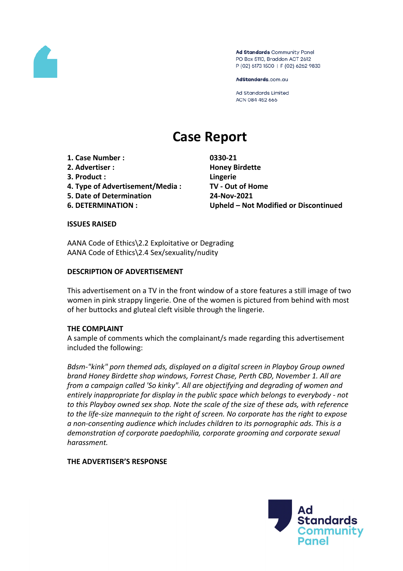

Ad Standards Community Panel PO Box 5110, Braddon ACT 2612 P (02) 6173 1500 | F (02) 6262 9833

AdStandards.com.au

**Ad Standards Limited** ACN 084 452 666

# **Case Report**

- **1. Case Number : 0330-21**
- **2. Advertiser : Honey Birdette**
- **3. Product : Lingerie**
- **4. Type of Advertisement/Media : TV - Out of Home**
- **5. Date of Determination 24-Nov-2021**
- 

**6. DETERMINATION : Upheld – Not Modified or Discontinued**

#### **ISSUES RAISED**

AANA Code of Ethics\2.2 Exploitative or Degrading AANA Code of Ethics\2.4 Sex/sexuality/nudity

## **DESCRIPTION OF ADVERTISEMENT**

This advertisement on a TV in the front window of a store features a still image of two women in pink strappy lingerie. One of the women is pictured from behind with most of her buttocks and gluteal cleft visible through the lingerie.

#### **THE COMPLAINT**

A sample of comments which the complainant/s made regarding this advertisement included the following:

*Bdsm-"kink" porn themed ads, displayed on a digital screen in Playboy Group owned brand Honey Birdette shop windows, Forrest Chase, Perth CBD, November 1. All are from a campaign called 'So kinky". All are objectifying and degrading of women and entirely inappropriate for display in the public space which belongs to everybody - not to this Playboy owned sex shop. Note the scale of the size of these ads, with reference to the life-size mannequin to the right of screen. No corporate has the right to expose a non-consenting audience which includes children to its pornographic ads. This is a demonstration of corporate paedophilia, corporate grooming and corporate sexual harassment.*

## **THE ADVERTISER'S RESPONSE**

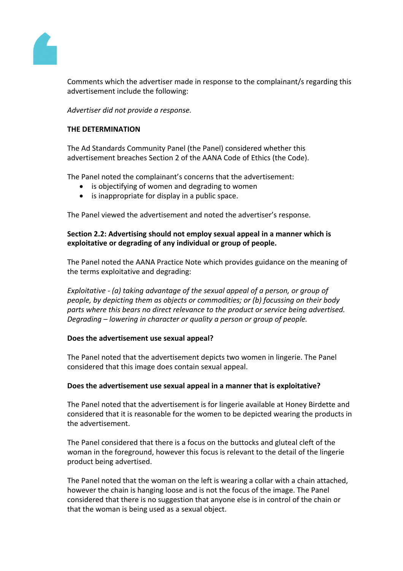

Comments which the advertiser made in response to the complainant/s regarding this advertisement include the following:

*Advertiser did not provide a response.*

### **THE DETERMINATION**

The Ad Standards Community Panel (the Panel) considered whether this advertisement breaches Section 2 of the AANA Code of Ethics (the Code).

The Panel noted the complainant's concerns that the advertisement:

- is objectifying of women and degrading to women
- is inappropriate for display in a public space.

The Panel viewed the advertisement and noted the advertiser's response.

## **Section 2.2: Advertising should not employ sexual appeal in a manner which is exploitative or degrading of any individual or group of people.**

The Panel noted the AANA Practice Note which provides guidance on the meaning of the terms exploitative and degrading:

*Exploitative - (a) taking advantage of the sexual appeal of a person, or group of people, by depicting them as objects or commodities; or (b) focussing on their body parts where this bears no direct relevance to the product or service being advertised. Degrading – lowering in character or quality a person or group of people.*

#### **Does the advertisement use sexual appeal?**

The Panel noted that the advertisement depicts two women in lingerie. The Panel considered that this image does contain sexual appeal.

#### **Does the advertisement use sexual appeal in a manner that is exploitative?**

The Panel noted that the advertisement is for lingerie available at Honey Birdette and considered that it is reasonable for the women to be depicted wearing the products in the advertisement.

The Panel considered that there is a focus on the buttocks and gluteal cleft of the woman in the foreground, however this focus is relevant to the detail of the lingerie product being advertised.

The Panel noted that the woman on the left is wearing a collar with a chain attached, however the chain is hanging loose and is not the focus of the image. The Panel considered that there is no suggestion that anyone else is in control of the chain or that the woman is being used as a sexual object.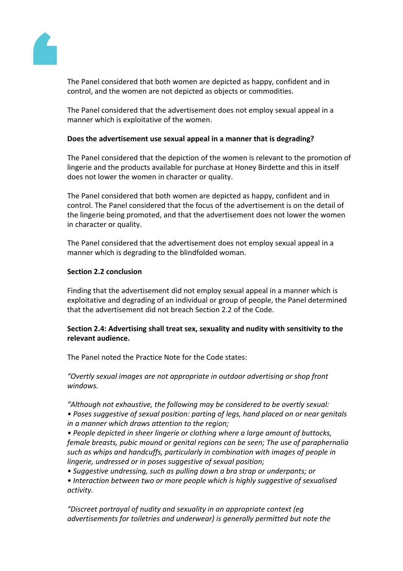

The Panel considered that both women are depicted as happy, confident and in control, and the women are not depicted as objects or commodities.

The Panel considered that the advertisement does not employ sexual appeal in a manner which is exploitative of the women.

### **Does the advertisement use sexual appeal in a manner that is degrading?**

The Panel considered that the depiction of the women is relevant to the promotion of lingerie and the products available for purchase at Honey Birdette and this in itself does not lower the women in character or quality.

The Panel considered that both women are depicted as happy, confident and in control. The Panel considered that the focus of the advertisement is on the detail of the lingerie being promoted, and that the advertisement does not lower the women in character or quality.

The Panel considered that the advertisement does not employ sexual appeal in a manner which is degrading to the blindfolded woman.

#### **Section 2.2 conclusion**

Finding that the advertisement did not employ sexual appeal in a manner which is exploitative and degrading of an individual or group of people, the Panel determined that the advertisement did not breach Section 2.2 of the Code.

#### **Section 2.4: Advertising shall treat sex, sexuality and nudity with sensitivity to the relevant audience.**

The Panel noted the Practice Note for the Code states:

*"Overtly sexual images are not appropriate in outdoor advertising or shop front windows.*

*"Although not exhaustive, the following may be considered to be overtly sexual: • Poses suggestive of sexual position: parting of legs, hand placed on or near genitals in a manner which draws attention to the region;*

*• People depicted in sheer lingerie or clothing where a large amount of buttocks, female breasts, pubic mound or genital regions can be seen; The use of paraphernalia such as whips and handcuffs, particularly in combination with images of people in lingerie, undressed or in poses suggestive of sexual position;*

*• Suggestive undressing, such as pulling down a bra strap or underpants; or*

*• Interaction between two or more people which is highly suggestive of sexualised activity.*

*"Discreet portrayal of nudity and sexuality in an appropriate context (eg advertisements for toiletries and underwear) is generally permitted but note the*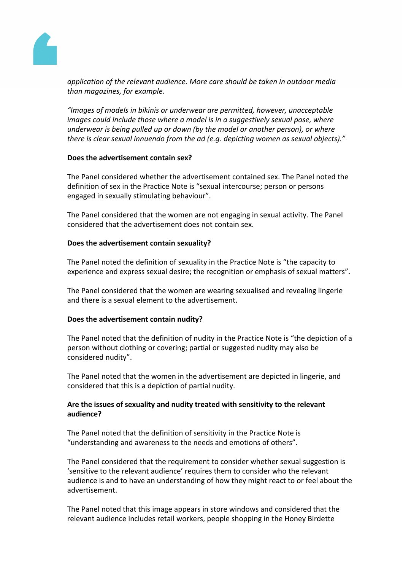

*application of the relevant audience. More care should be taken in outdoor media than magazines, for example.*

*"Images of models in bikinis or underwear are permitted, however, unacceptable images could include those where a model is in a suggestively sexual pose, where underwear is being pulled up or down (by the model or another person), or where there is clear sexual innuendo from the ad (e.g. depicting women as sexual objects)."*

#### **Does the advertisement contain sex?**

The Panel considered whether the advertisement contained sex. The Panel noted the definition of sex in the Practice Note is "sexual intercourse; person or persons engaged in sexually stimulating behaviour".

The Panel considered that the women are not engaging in sexual activity. The Panel considered that the advertisement does not contain sex.

#### **Does the advertisement contain sexuality?**

The Panel noted the definition of sexuality in the Practice Note is "the capacity to experience and express sexual desire; the recognition or emphasis of sexual matters".

The Panel considered that the women are wearing sexualised and revealing lingerie and there is a sexual element to the advertisement.

#### **Does the advertisement contain nudity?**

The Panel noted that the definition of nudity in the Practice Note is "the depiction of a person without clothing or covering; partial or suggested nudity may also be considered nudity".

The Panel noted that the women in the advertisement are depicted in lingerie, and considered that this is a depiction of partial nudity.

## **Are the issues of sexuality and nudity treated with sensitivity to the relevant audience?**

The Panel noted that the definition of sensitivity in the Practice Note is "understanding and awareness to the needs and emotions of others".

The Panel considered that the requirement to consider whether sexual suggestion is 'sensitive to the relevant audience' requires them to consider who the relevant audience is and to have an understanding of how they might react to or feel about the advertisement.

The Panel noted that this image appears in store windows and considered that the relevant audience includes retail workers, people shopping in the Honey Birdette